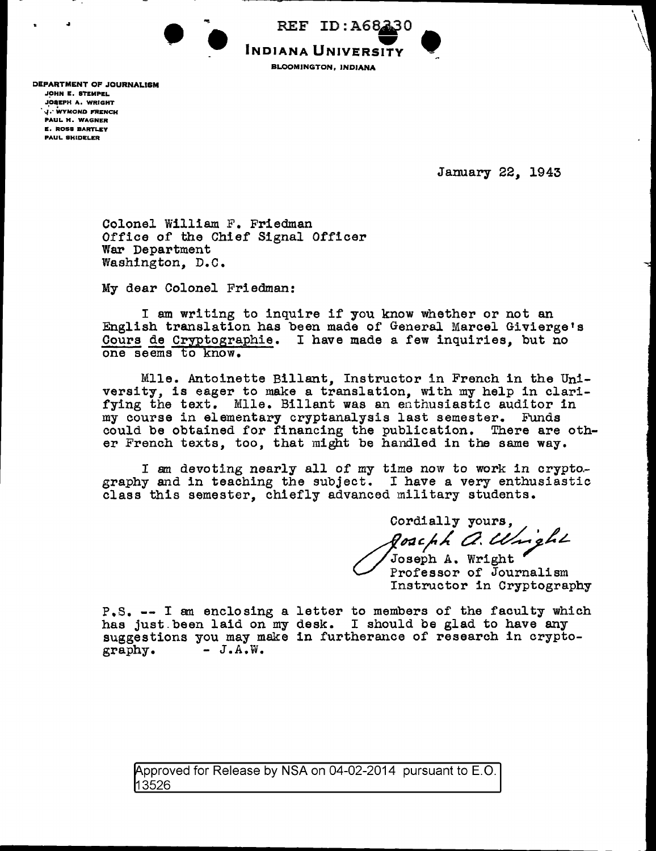

DEPARTMENT OF JOURNALISM JOHN E. STEMPEL **JOSEPH A. WRIGHT**<br>J. WYMOND FRENCH PAUL H. WAGNER **E. ROSS BARTLEY** PAUL SHIDELER

January 22, 1943

. \  $\backslash$  $\sqrt{\frac{1}{2}}$ 

Colonel William F. Friedman Office of the Chief Signal Officer War Department Washington, D.C.

My dear Colonel Friedman:

I am writing to inquire if you know whether or not an English translation has been made of General Marcel Givierge's Cours de Cryptographie. I have made a few inquiries, but no one seems to know.

Mlle. Antoinette Billant, Instructor in French in the University, is eager to make a translation, with my help in clarifying the text. Mlle. Billant was an enthusiastic auditor in my course in elementary cryptanalysis last semester. Funds could be obtained for financing the publication. There are other French texts, too, that might be handled in the same way.

I am devoting nearly all of my time now to work in crypto-<br>graphy and in teaching the subject. I have a very enthusiastic class this semester, chiefly advanced military students.

Cordially yours, *goachh A. Wright*<br>Joseph A. Wright

Professor of Journalism Instructor in Cryptography

P.S. -- I am enclosing a letter to members of the faculty which has just.been laid on my desk. I should be glad to have any suggestions you may make in furtherance of research in crypto-graphy.  $- J.A.W.$  $-J.A.W.$ 

Approved for Release by NSA on 04-02-2014 pursuant to E.O. 13526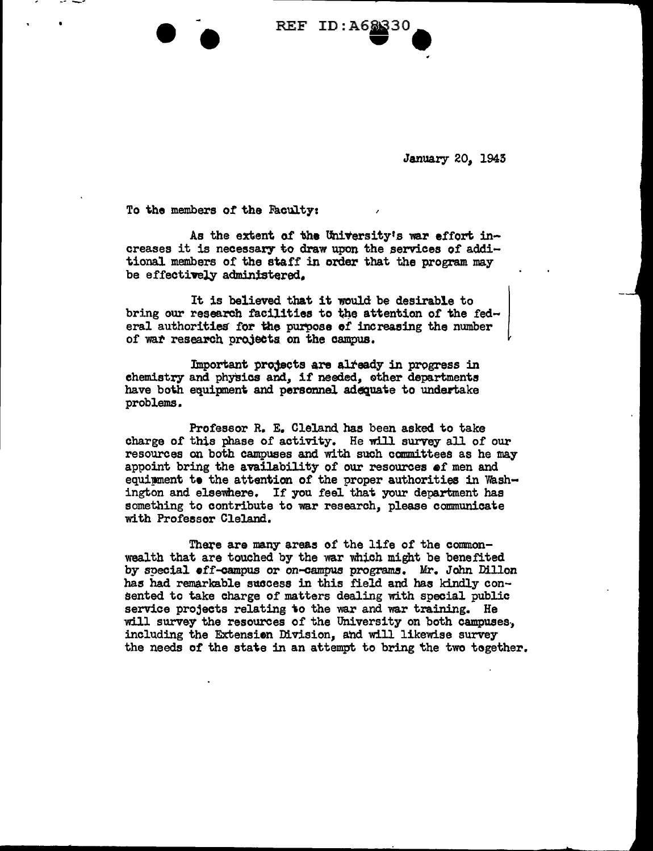REF ID: A68330

January 20. 1943

To the members of the Faculty:

As the extent of the University's war effort increases it is necessary to draw upon the services of additional members of the staff in order that the program may be effectively administered.

It is believed that it would be desirable to bring our research facilities to the attention of the federal authorities for the purpose of increasing the number of war research projects on the campus.

Important projects are already in progress in chemistry and physics and, if needed, other departments have both equipment and personnel adequate to undertake problems.

Professor R. E. Cleland has been asked to take charge of this phase of activity. He will survey all of our resources on both campuses and with such committees as he may appoint bring the availability of our resources of men and equimment to the attention of the proper authorities in Washington and elsewhere. If you feel that your department has something to contribute to war research, please communicate with Professor Cleland.

There are many areas of the life of the commonwealth that are touched by the war which might be benefited by special •ff-campus or on-campus programs. Mr. John Dillon has had remarkable success in this field and has kindly consented to take charge of matters dealing with special public service projects relating to the war and war training. He will survey the resources of the University on both campuses, including the Extension Division, and will likewise survey the needs of the state in an attempt to bring the two together.